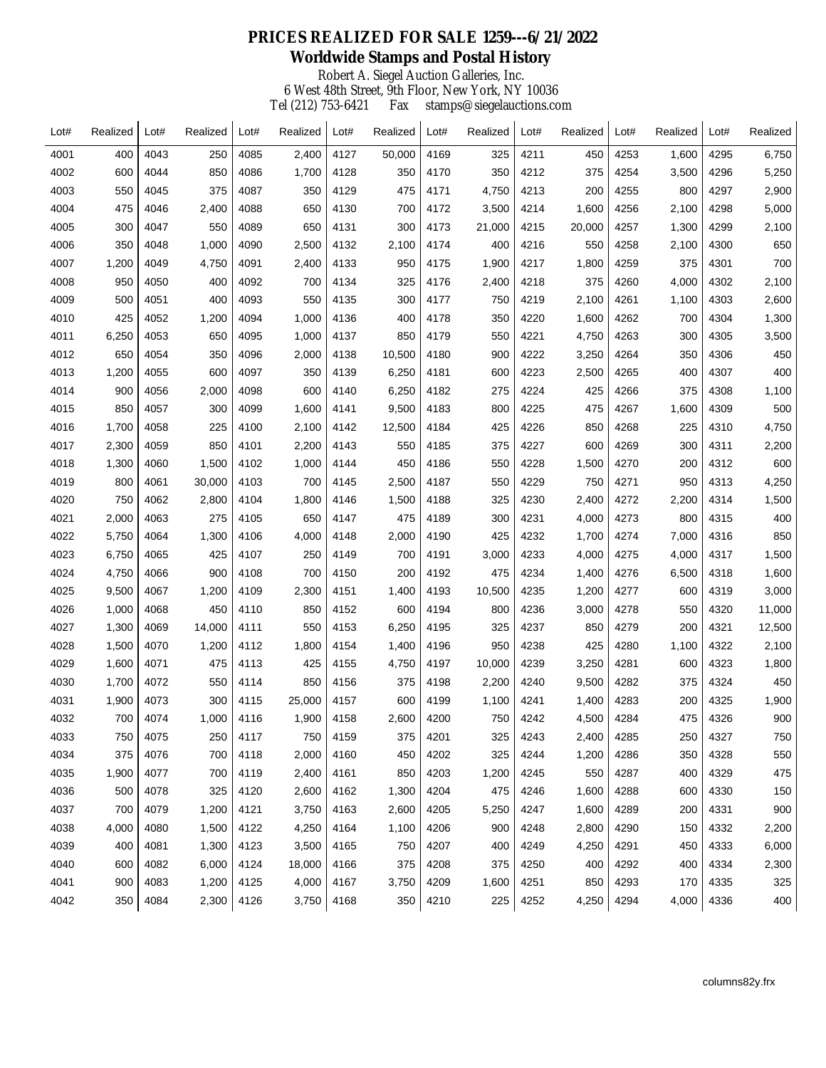## **PRICES REALIZED FOR SALE 1259---6/21/2022 Worldwide Stamps and Postal History** Robert A. Siegel Auction Galleries, Inc. 6 West 48th Street, 9th Floor, New York, NY 10036 Tel (212) 753-6421 Fax stamps@siegelauctions.com  $\mathbf{r}$  $\mathbf{r}$

| Lot# | Realized | Lot# | Realized | Lot# | Realized | Lot# | Realized | Lot# | Realized | Lot# | Realized | Lot# | Realized | Lot# | Realized |
|------|----------|------|----------|------|----------|------|----------|------|----------|------|----------|------|----------|------|----------|
| 4001 | 400      | 4043 | 250      | 4085 | 2,400    | 4127 | 50.000   | 4169 | 325      | 4211 | 450      | 4253 | 1,600    | 4295 | 6,750    |
| 4002 | 600      | 4044 | 850      | 4086 | 1,700    | 4128 | 350      | 4170 | 350      | 4212 | 375      | 4254 | 3,500    | 4296 | 5,250    |
| 4003 | 550      | 4045 | 375      | 4087 | 350      | 4129 | 475      | 4171 | 4,750    | 4213 | 200      | 4255 | 800      | 4297 | 2,900    |
| 4004 | 475      | 4046 | 2,400    | 4088 | 650      | 4130 | 700      | 4172 | 3,500    | 4214 | 1,600    | 4256 | 2,100    | 4298 | 5,000    |
| 4005 | 300      | 4047 | 550      | 4089 | 650      | 4131 | 300      | 4173 | 21,000   | 4215 | 20,000   | 4257 | 1,300    | 4299 | 2,100    |
| 4006 | 350      | 4048 | 1,000    | 4090 | 2,500    | 4132 | 2,100    | 4174 | 400      | 4216 | 550      | 4258 | 2,100    | 4300 | 650      |
| 4007 | 1,200    | 4049 | 4,750    | 4091 | 2,400    | 4133 | 950      | 4175 | 1,900    | 4217 | 1,800    | 4259 | 375      | 4301 | 700      |
| 4008 | 950      | 4050 | 400      | 4092 | 700      | 4134 | 325      | 4176 | 2,400    | 4218 | 375      | 4260 | 4,000    | 4302 | 2,100    |
| 4009 | 500      | 4051 | 400      | 4093 | 550      | 4135 | 300      | 4177 | 750      | 4219 | 2,100    | 4261 | 1,100    | 4303 | 2,600    |
| 4010 | 425      | 4052 | 1,200    | 4094 | 1,000    | 4136 | 400      | 4178 | 350      | 4220 | 1,600    | 4262 | 700      | 4304 | 1,300    |
| 4011 | 6,250    | 4053 | 650      | 4095 | 1,000    | 4137 | 850      | 4179 | 550      | 4221 | 4,750    | 4263 | 300      | 4305 | 3,500    |
| 4012 | 650      | 4054 | 350      | 4096 | 2,000    | 4138 | 10,500   | 4180 | 900      | 4222 | 3,250    | 4264 | 350      | 4306 | 450      |
| 4013 | 1,200    | 4055 | 600      | 4097 | 350      | 4139 | 6,250    | 4181 | 600      | 4223 | 2,500    | 4265 | 400      | 4307 | 400      |
| 4014 | 900      | 4056 | 2,000    | 4098 | 600      | 4140 | 6,250    | 4182 | 275      | 4224 | 425      | 4266 | 375      | 4308 | 1,100    |
| 4015 | 850      | 4057 | 300      | 4099 | 1,600    | 4141 | 9,500    | 4183 | 800      | 4225 | 475      | 4267 | 1,600    | 4309 | 500      |
| 4016 | 1,700    | 4058 | 225      | 4100 | 2,100    | 4142 | 12,500   | 4184 | 425      | 4226 | 850      | 4268 | 225      | 4310 | 4,750    |
| 4017 | 2,300    | 4059 | 850      | 4101 | 2,200    | 4143 | 550      | 4185 | 375      | 4227 | 600      | 4269 | 300      | 4311 | 2,200    |
| 4018 | 1,300    | 4060 | 1,500    | 4102 | 1,000    | 4144 | 450      | 4186 | 550      | 4228 | 1,500    | 4270 | 200      | 4312 | 600      |
| 4019 | 800      | 4061 | 30,000   | 4103 | 700      | 4145 | 2,500    | 4187 | 550      | 4229 | 750      | 4271 | 950      | 4313 | 4,250    |
| 4020 | 750      | 4062 | 2,800    | 4104 | 1,800    | 4146 | 1,500    | 4188 | 325      | 4230 | 2,400    | 4272 | 2,200    | 4314 | 1,500    |
| 4021 | 2,000    | 4063 | 275      | 4105 | 650      | 4147 | 475      | 4189 | 300      | 4231 | 4,000    | 4273 | 800      | 4315 | 400      |
| 4022 | 5,750    | 4064 | 1,300    | 4106 | 4,000    | 4148 | 2,000    | 4190 | 425      | 4232 | 1,700    | 4274 | 7,000    | 4316 | 850      |
| 4023 | 6,750    | 4065 | 425      | 4107 | 250      | 4149 | 700      | 4191 | 3,000    | 4233 | 4,000    | 4275 | 4,000    | 4317 | 1,500    |
| 4024 | 4,750    | 4066 | 900      | 4108 | 700      | 4150 | 200      | 4192 | 475      | 4234 | 1,400    | 4276 | 6,500    | 4318 | 1,600    |
| 4025 | 9,500    | 4067 | 1,200    | 4109 | 2,300    | 4151 | 1,400    | 4193 | 10,500   | 4235 | 1,200    | 4277 | 600      | 4319 | 3,000    |
| 4026 | 1,000    | 4068 | 450      | 4110 | 850      | 4152 | 600      | 4194 | 800      | 4236 | 3,000    | 4278 | 550      | 4320 | 11,000   |
| 4027 | 1,300    | 4069 | 14,000   | 4111 | 550      | 4153 | 6,250    | 4195 | 325      | 4237 | 850      | 4279 | 200      | 4321 | 12,500   |
| 4028 | 1,500    | 4070 | 1,200    | 4112 | 1,800    | 4154 | 1,400    | 4196 | 950      | 4238 | 425      | 4280 | 1,100    | 4322 | 2,100    |
| 4029 | 1,600    | 4071 | 475      | 4113 | 425      | 4155 | 4,750    | 4197 | 10,000   | 4239 | 3,250    | 4281 | 600      | 4323 | 1,800    |
| 4030 | 1,700    | 4072 | 550      | 4114 | 850      | 4156 | 375      | 4198 | 2,200    | 4240 | 9,500    | 4282 | 375      | 4324 | 450      |
| 4031 | 1,900    | 4073 | 300      | 4115 | 25,000   | 4157 | 600      | 4199 | 1,100    | 4241 | 1,400    | 4283 | 200      | 4325 | 1,900    |
| 4032 | 700      | 4074 | 1,000    | 4116 | 1,900    | 4158 | 2,600    | 4200 | 750      | 4242 | 4,500    | 4284 | 475      | 4326 | 900      |
| 4033 | 750      | 4075 | 250      | 4117 | 750      | 4159 | 375      | 4201 | 325      | 4243 | 2,400    | 4285 | 250      | 4327 | 750      |
| 4034 | 375      | 4076 | 700      | 4118 | 2,000    | 4160 | 450      | 4202 | 325      | 4244 | 1,200    | 4286 | 350      | 4328 | 550      |
| 4035 | 1,900    | 4077 | 700      | 4119 | 2,400    | 4161 | 850      | 4203 | 1,200    | 4245 | 550      | 4287 | 400      | 4329 | 475      |
| 4036 | 500      | 4078 | 325      | 4120 | 2,600    | 4162 | 1,300    | 4204 | 475      | 4246 | 1,600    | 4288 | 600      | 4330 | 150      |
| 4037 | 700      | 4079 | 1,200    | 4121 | 3,750    | 4163 | 2,600    | 4205 | 5,250    | 4247 | 1,600    | 4289 | 200      | 4331 | 900      |
| 4038 | 4,000    | 4080 | 1,500    | 4122 | 4,250    | 4164 | 1,100    | 4206 | 900      | 4248 | 2,800    | 4290 | 150      | 4332 | 2,200    |
| 4039 | 400      | 4081 | 1,300    | 4123 | 3,500    | 4165 | 750      | 4207 | 400      | 4249 | 4,250    | 4291 | 450      | 4333 | 6,000    |
| 4040 | 600      | 4082 | 6,000    | 4124 | 18,000   | 4166 | 375      | 4208 | 375      | 4250 | 400      | 4292 | 400      | 4334 | 2,300    |
| 4041 | 900      | 4083 | 1,200    | 4125 | 4,000    | 4167 | 3,750    | 4209 | 1,600    | 4251 | 850      | 4293 | 170      | 4335 | 325      |
| 4042 | 350      | 4084 | 2,300    | 4126 | 3,750    | 4168 | 350      | 4210 | 225      | 4252 | 4,250    | 4294 | 4,000    | 4336 | 400      |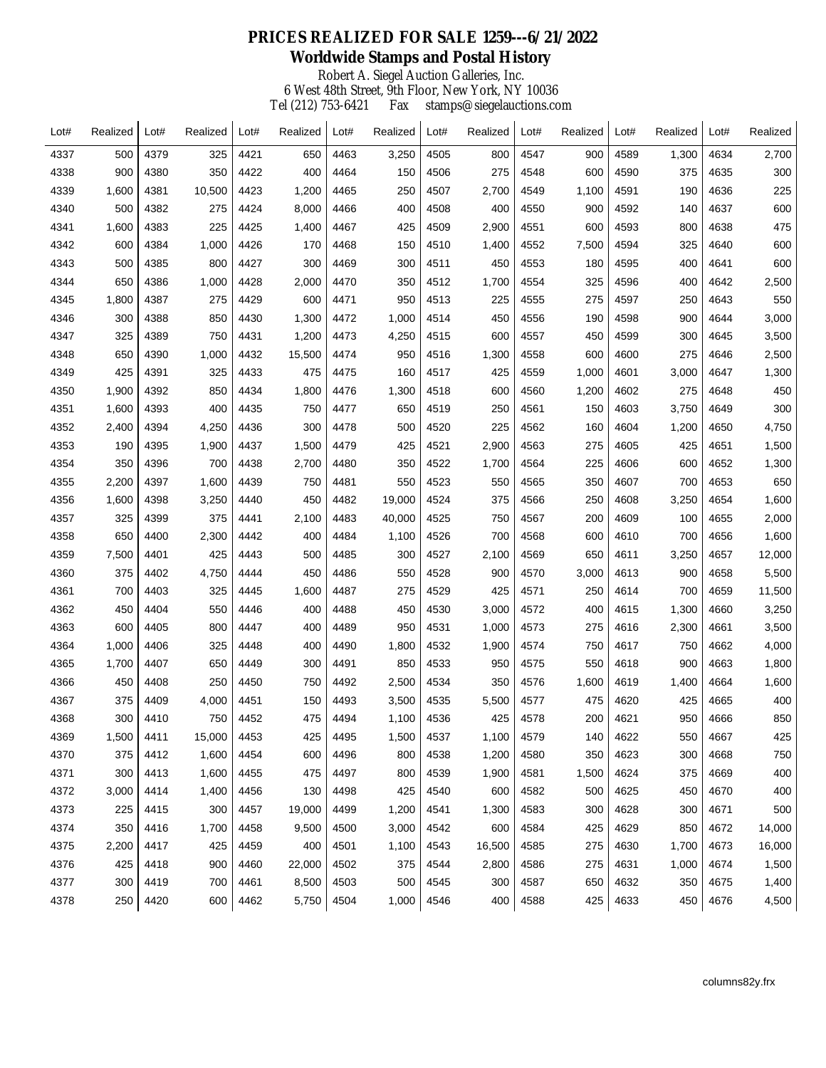## **PRICES REALIZED FOR SALE 1259---6/21/2022 Worldwide Stamps and Postal History** Robert A. Siegel Auction Galleries, Inc. 6 West 48th Street, 9th Floor, New York, NY 10036 Tel (212) 753-6421 Fax stamps@siegelauctions.com  $\mathbf{r}$  $\mathbf{r}$  $\mathbf{I}$

| Lot# | Realized | Lot# | Realized | Lot# | Realized | Lot# | Realized | Lot# | Realized | Lot# | Realized | Lot# | Realized | Lot# | Realized |
|------|----------|------|----------|------|----------|------|----------|------|----------|------|----------|------|----------|------|----------|
| 4337 | 500      | 4379 | 325      | 4421 | 650      | 4463 | 3,250    | 4505 | 800      | 4547 | 900      | 4589 | 1,300    | 4634 | 2,700    |
| 4338 | 900      | 4380 | 350      | 4422 | 400      | 4464 | 150      | 4506 | 275      | 4548 | 600      | 4590 | 375      | 4635 | 300      |
| 4339 | 1,600    | 4381 | 10,500   | 4423 | 1,200    | 4465 | 250      | 4507 | 2,700    | 4549 | 1,100    | 4591 | 190      | 4636 | 225      |
| 4340 | 500      | 4382 | 275      | 4424 | 8,000    | 4466 | 400      | 4508 | 400      | 4550 | 900      | 4592 | 140      | 4637 | 600      |
| 4341 | 1,600    | 4383 | 225      | 4425 | 1,400    | 4467 | 425      | 4509 | 2,900    | 4551 | 600      | 4593 | 800      | 4638 | 475      |
| 4342 | 600      | 4384 | 1,000    | 4426 | 170      | 4468 | 150      | 4510 | 1,400    | 4552 | 7,500    | 4594 | 325      | 4640 | 600      |
| 4343 | 500      | 4385 | 800      | 4427 | 300      | 4469 | 300      | 4511 | 450      | 4553 | 180      | 4595 | 400      | 4641 | 600      |
| 4344 | 650      | 4386 | 1,000    | 4428 | 2,000    | 4470 | 350      | 4512 | 1,700    | 4554 | 325      | 4596 | 400      | 4642 | 2,500    |
| 4345 | 1,800    | 4387 | 275      | 4429 | 600      | 4471 | 950      | 4513 | 225      | 4555 | 275      | 4597 | 250      | 4643 | 550      |
| 4346 | 300      | 4388 | 850      | 4430 | 1,300    | 4472 | 1,000    | 4514 | 450      | 4556 | 190      | 4598 | 900      | 4644 | 3,000    |
| 4347 | 325      | 4389 | 750      | 4431 | 1,200    | 4473 | 4,250    | 4515 | 600      | 4557 | 450      | 4599 | 300      | 4645 | 3,500    |
| 4348 | 650      | 4390 | 1,000    | 4432 | 15,500   | 4474 | 950      | 4516 | 1,300    | 4558 | 600      | 4600 | 275      | 4646 | 2,500    |
| 4349 | 425      | 4391 | 325      | 4433 | 475      | 4475 | 160      | 4517 | 425      | 4559 | 1,000    | 4601 | 3,000    | 4647 | 1,300    |
| 4350 | 1,900    | 4392 | 850      | 4434 | 1,800    | 4476 | 1,300    | 4518 | 600      | 4560 | 1,200    | 4602 | 275      | 4648 | 450      |
| 4351 | 1,600    | 4393 | 400      | 4435 | 750      | 4477 | 650      | 4519 | 250      | 4561 | 150      | 4603 | 3,750    | 4649 | 300      |
| 4352 | 2,400    | 4394 | 4,250    | 4436 | 300      | 4478 | 500      | 4520 | 225      | 4562 | 160      | 4604 | 1,200    | 4650 | 4,750    |
| 4353 | 190      | 4395 | 1,900    | 4437 | 1,500    | 4479 | 425      | 4521 | 2,900    | 4563 | 275      | 4605 | 425      | 4651 | 1,500    |
| 4354 | 350      | 4396 | 700      | 4438 | 2,700    | 4480 | 350      | 4522 | 1,700    | 4564 | 225      | 4606 | 600      | 4652 | 1,300    |
| 4355 | 2,200    | 4397 | 1,600    | 4439 | 750      | 4481 | 550      | 4523 | 550      | 4565 | 350      | 4607 | 700      | 4653 | 650      |
| 4356 | 1,600    | 4398 | 3,250    | 4440 | 450      | 4482 | 19,000   | 4524 | 375      | 4566 | 250      | 4608 | 3,250    | 4654 | 1,600    |
| 4357 | 325      | 4399 | 375      | 4441 | 2,100    | 4483 | 40,000   | 4525 | 750      | 4567 | 200      | 4609 | 100      | 4655 | 2,000    |
| 4358 | 650      | 4400 | 2,300    | 4442 | 400      | 4484 | 1,100    | 4526 | 700      | 4568 | 600      | 4610 | 700      | 4656 | 1,600    |
| 4359 | 7,500    | 4401 | 425      | 4443 | 500      | 4485 | 300      | 4527 | 2,100    | 4569 | 650      | 4611 | 3,250    | 4657 | 12,000   |
| 4360 | 375      | 4402 | 4,750    | 4444 | 450      | 4486 | 550      | 4528 | 900      | 4570 | 3,000    | 4613 | 900      | 4658 | 5,500    |
| 4361 | 700      | 4403 | 325      | 4445 | 1,600    | 4487 | 275      | 4529 | 425      | 4571 | 250      | 4614 | 700      | 4659 | 11,500   |
| 4362 | 450      | 4404 | 550      | 4446 | 400      | 4488 | 450      | 4530 | 3,000    | 4572 | 400      | 4615 | 1,300    | 4660 | 3,250    |
| 4363 | 600      | 4405 | 800      | 4447 | 400      | 4489 | 950      | 4531 | 1,000    | 4573 | 275      | 4616 | 2,300    | 4661 | 3,500    |
| 4364 | 1,000    | 4406 | 325      | 4448 | 400      | 4490 | 1,800    | 4532 | 1,900    | 4574 | 750      | 4617 | 750      | 4662 | 4,000    |
| 4365 | 1,700    | 4407 | 650      | 4449 | 300      | 4491 | 850      | 4533 | 950      | 4575 | 550      | 4618 | 900      | 4663 | 1,800    |
| 4366 | 450      | 4408 | 250      | 4450 | 750      | 4492 | 2,500    | 4534 | 350      | 4576 | 1,600    | 4619 | 1,400    | 4664 | 1,600    |
| 4367 | 375      | 4409 | 4,000    | 4451 | 150      | 4493 | 3,500    | 4535 | 5,500    | 4577 | 475      | 4620 | 425      | 4665 | 400      |
| 4368 | 300      | 4410 | 750      | 4452 | 475      | 4494 | 1,100    | 4536 | 425      | 4578 | 200      | 4621 | 950      | 4666 | 850      |
| 4369 | 1,500    | 4411 | 15,000   | 4453 | 425      | 4495 | 1,500    | 4537 | 1,100    | 4579 | 140      | 4622 | 550      | 4667 | 425      |
| 4370 | 375      | 4412 | 1,600    | 4454 | 600      | 4496 | 800      | 4538 | 1,200    | 4580 | 350      | 4623 | 300      | 4668 | 750      |
| 4371 | 300      | 4413 | 1,600    | 4455 | 475      | 4497 | 800      | 4539 | 1,900    | 4581 | 1,500    | 4624 | 375      | 4669 | 400      |
| 4372 | 3,000    | 4414 | 1,400    | 4456 | 130      | 4498 | 425      | 4540 | 600      | 4582 | 500      | 4625 | 450      | 4670 | 400      |
| 4373 | 225      | 4415 | 300      | 4457 | 19,000   | 4499 | 1,200    | 4541 | 1,300    | 4583 | 300      | 4628 | 300      | 4671 | 500      |
| 4374 | 350      | 4416 | 1,700    | 4458 | 9,500    | 4500 | 3,000    | 4542 | 600      | 4584 | 425      | 4629 | 850      | 4672 | 14,000   |
| 4375 | 2,200    | 4417 | 425      | 4459 | 400      | 4501 | 1,100    | 4543 | 16,500   | 4585 | 275      | 4630 | 1,700    | 4673 | 16,000   |
| 4376 | 425      | 4418 | 900      | 4460 | 22,000   | 4502 | 375      | 4544 | 2,800    | 4586 | 275      | 4631 | 1,000    | 4674 | 1,500    |
| 4377 | 300      | 4419 | 700      | 4461 | 8,500    | 4503 | 500      | 4545 | 300      | 4587 | 650      | 4632 | 350      | 4675 | 1,400    |
| 4378 | 250      | 4420 | 600      | 4462 | 5,750    | 4504 | 1,000    | 4546 | 400      | 4588 | 425      | 4633 | 450      | 4676 | 4,500    |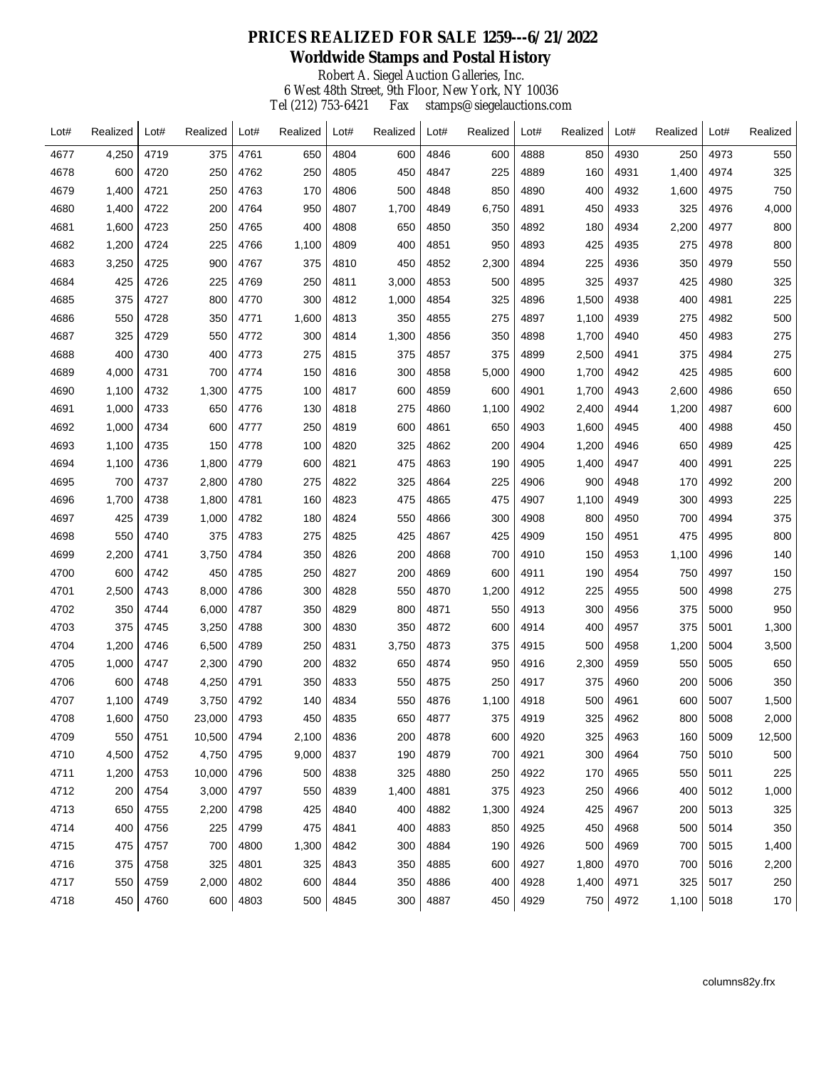## **PRICES REALIZED FOR SALE 1259---6/21/2022 Worldwide Stamps and Postal History** Robert A. Siegel Auction Galleries, Inc. 6 West 48th Street, 9th Floor, New York, NY 10036 Tel (212) 753-6421 Fax stamps@siegelauctions.com  $\mathbf{r}$  $\mathbf{r}$  $\mathbf{I}$

| Lot# | Realized | Lot# | Realized | Lot# | Realized | Lot# | Realized | Lot# | Realized | Lot# | Realized | Lot# | Realized | Lot# | Realized |
|------|----------|------|----------|------|----------|------|----------|------|----------|------|----------|------|----------|------|----------|
| 4677 | 4,250    | 4719 | 375      | 4761 | 650      | 4804 | 600      | 4846 | 600      | 4888 | 850      | 4930 | 250      | 4973 | 550      |
| 4678 | 600      | 4720 | 250      | 4762 | 250      | 4805 | 450      | 4847 | 225      | 4889 | 160      | 4931 | 1,400    | 4974 | 325      |
| 4679 | 1,400    | 4721 | 250      | 4763 | 170      | 4806 | 500      | 4848 | 850      | 4890 | 400      | 4932 | 1,600    | 4975 | 750      |
| 4680 | 1,400    | 4722 | 200      | 4764 | 950      | 4807 | 1,700    | 4849 | 6,750    | 4891 | 450      | 4933 | 325      | 4976 | 4,000    |
| 4681 | 1,600    | 4723 | 250      | 4765 | 400      | 4808 | 650      | 4850 | 350      | 4892 | 180      | 4934 | 2,200    | 4977 | 800      |
| 4682 | 1,200    | 4724 | 225      | 4766 | 1,100    | 4809 | 400      | 4851 | 950      | 4893 | 425      | 4935 | 275      | 4978 | 800      |
| 4683 | 3,250    | 4725 | 900      | 4767 | 375      | 4810 | 450      | 4852 | 2,300    | 4894 | 225      | 4936 | 350      | 4979 | 550      |
| 4684 | 425      | 4726 | 225      | 4769 | 250      | 4811 | 3,000    | 4853 | 500      | 4895 | 325      | 4937 | 425      | 4980 | 325      |
| 4685 | 375      | 4727 | 800      | 4770 | 300      | 4812 | 1,000    | 4854 | 325      | 4896 | 1,500    | 4938 | 400      | 4981 | 225      |
| 4686 | 550      | 4728 | 350      | 4771 | 1,600    | 4813 | 350      | 4855 | 275      | 4897 | 1,100    | 4939 | 275      | 4982 | 500      |
| 4687 | 325      | 4729 | 550      | 4772 | 300      | 4814 | 1,300    | 4856 | 350      | 4898 | 1,700    | 4940 | 450      | 4983 | 275      |
| 4688 | 400      | 4730 | 400      | 4773 | 275      | 4815 | 375      | 4857 | 375      | 4899 | 2,500    | 4941 | 375      | 4984 | 275      |
| 4689 | 4,000    | 4731 | 700      | 4774 | 150      | 4816 | 300      | 4858 | 5,000    | 4900 | 1,700    | 4942 | 425      | 4985 | 600      |
| 4690 | 1,100    | 4732 | 1,300    | 4775 | 100      | 4817 | 600      | 4859 | 600      | 4901 | 1,700    | 4943 | 2,600    | 4986 | 650      |
| 4691 | 1,000    | 4733 | 650      | 4776 | 130      | 4818 | 275      | 4860 | 1,100    | 4902 | 2,400    | 4944 | 1,200    | 4987 | 600      |
| 4692 | 1,000    | 4734 | 600      | 4777 | 250      | 4819 | 600      | 4861 | 650      | 4903 | 1,600    | 4945 | 400      | 4988 | 450      |
| 4693 | 1,100    | 4735 | 150      | 4778 | 100      | 4820 | 325      | 4862 | 200      | 4904 | 1,200    | 4946 | 650      | 4989 | 425      |
| 4694 | 1,100    | 4736 | 1,800    | 4779 | 600      | 4821 | 475      | 4863 | 190      | 4905 | 1,400    | 4947 | 400      | 4991 | 225      |
| 4695 | 700      | 4737 | 2,800    | 4780 | 275      | 4822 | 325      | 4864 | 225      | 4906 | 900      | 4948 | 170      | 4992 | 200      |
| 4696 | 1,700    | 4738 | 1,800    | 4781 | 160      | 4823 | 475      | 4865 | 475      | 4907 | 1,100    | 4949 | 300      | 4993 | 225      |
| 4697 | 425      | 4739 | 1,000    | 4782 | 180      | 4824 | 550      | 4866 | 300      | 4908 | 800      | 4950 | 700      | 4994 | 375      |
| 4698 | 550      | 4740 | 375      | 4783 | 275      | 4825 | 425      | 4867 | 425      | 4909 | 150      | 4951 | 475      | 4995 | 800      |
| 4699 | 2,200    | 4741 | 3,750    | 4784 | 350      | 4826 | 200      | 4868 | 700      | 4910 | 150      | 4953 | 1,100    | 4996 | 140      |
| 4700 | 600      | 4742 | 450      | 4785 | 250      | 4827 | 200      | 4869 | 600      | 4911 | 190      | 4954 | 750      | 4997 | 150      |
| 4701 | 2,500    | 4743 | 8,000    | 4786 | 300      | 4828 | 550      | 4870 | 1,200    | 4912 | 225      | 4955 | 500      | 4998 | 275      |
| 4702 | 350      | 4744 | 6,000    | 4787 | 350      | 4829 | 800      | 4871 | 550      | 4913 | 300      | 4956 | 375      | 5000 | 950      |
| 4703 | 375      | 4745 | 3,250    | 4788 | 300      | 4830 | 350      | 4872 | 600      | 4914 | 400      | 4957 | 375      | 5001 | 1,300    |
| 4704 | 1,200    | 4746 | 6,500    | 4789 | 250      | 4831 | 3,750    | 4873 | 375      | 4915 | 500      | 4958 | 1,200    | 5004 | 3,500    |
| 4705 | 1,000    | 4747 | 2,300    | 4790 | 200      | 4832 | 650      | 4874 | 950      | 4916 | 2,300    | 4959 | 550      | 5005 | 650      |
| 4706 | 600      | 4748 | 4,250    | 4791 | 350      | 4833 | 550      | 4875 | 250      | 4917 | 375      | 4960 | 200      | 5006 | 350      |
| 4707 | 1,100    | 4749 | 3,750    | 4792 | 140      | 4834 | 550      | 4876 | 1,100    | 4918 | 500      | 4961 | 600      | 5007 | 1,500    |
| 4708 | 1,600    | 4750 | 23,000   | 4793 | 450      | 4835 | 650      | 4877 | 375      | 4919 | 325      | 4962 | 800      | 5008 | 2,000    |
| 4709 | 550      | 4751 | 10,500   | 4794 | 2,100    | 4836 | 200      | 4878 | 600      | 4920 | 325      | 4963 | 160      | 5009 | 12,500   |
| 4710 | 4,500    | 4752 | 4,750    | 4795 | 9,000    | 4837 | 190      | 4879 | 700      | 4921 | 300      | 4964 | 750      | 5010 | 500      |
| 4711 | 1,200    | 4753 | 10,000   | 4796 | 500      | 4838 | 325      | 4880 | 250      | 4922 | 170      | 4965 | 550      | 5011 | 225      |
| 4712 | 200      | 4754 | 3,000    | 4797 | 550      | 4839 | 1,400    | 4881 | 375      | 4923 | 250      | 4966 | 400      | 5012 | 1,000    |
| 4713 | 650      | 4755 | 2,200    | 4798 | 425      | 4840 | 400      | 4882 | 1,300    | 4924 | 425      | 4967 | 200      | 5013 | 325      |
| 4714 | 400      | 4756 | 225      | 4799 | 475      | 4841 | 400      | 4883 | 850      | 4925 | 450      | 4968 | 500      | 5014 | 350      |
| 4715 | 475      | 4757 | 700      | 4800 | 1,300    | 4842 | 300      | 4884 | 190      | 4926 | 500      | 4969 | 700      | 5015 | 1,400    |
| 4716 | 375      | 4758 | 325      | 4801 | 325      | 4843 | 350      | 4885 | 600      | 4927 | 1,800    | 4970 | 700      | 5016 | 2,200    |
| 4717 | 550      | 4759 | 2,000    | 4802 | 600      | 4844 | 350      | 4886 | 400      | 4928 | 1,400    | 4971 | 325      | 5017 | 250      |
| 4718 | 450      | 4760 | 600      | 4803 | 500      | 4845 | 300      | 4887 | 450      | 4929 | 750      | 4972 | 1,100    | 5018 | 170      |